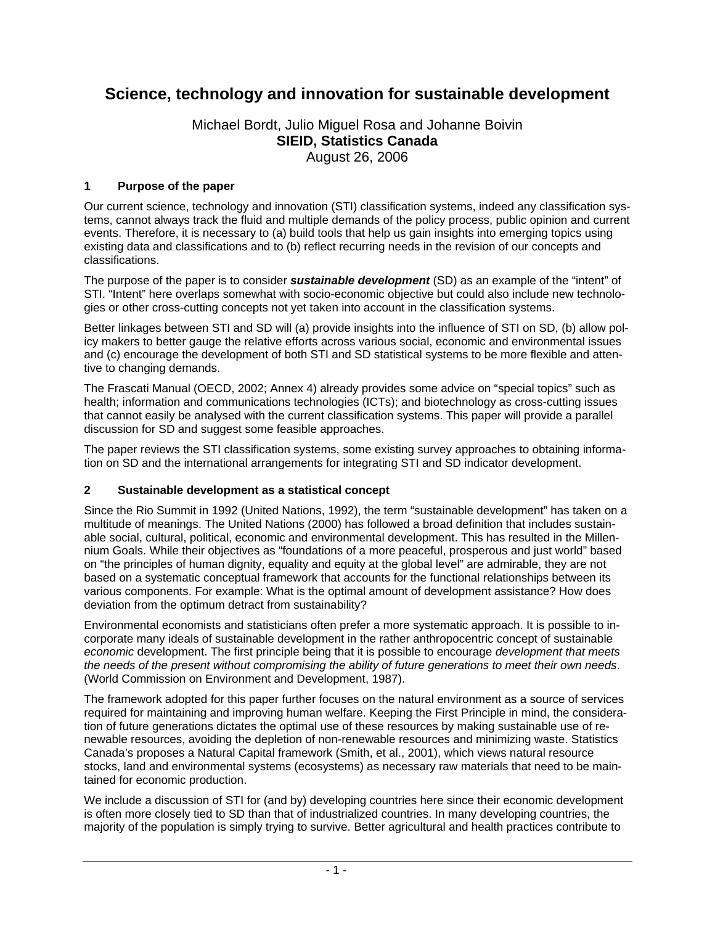# **Science, technology and innovation for sustainable development**

# Michael Bordt, Julio Miguel Rosa and Johanne Boivin **SIEID, Statistics Canada**  August 26, 2006

# **1 Purpose of the paper**

Our current science, technology and innovation (STI) classification systems, indeed any classification systems, cannot always track the fluid and multiple demands of the policy process, public opinion and current events. Therefore, it is necessary to (a) build tools that help us gain insights into emerging topics using existing data and classifications and to (b) reflect recurring needs in the revision of our concepts and classifications.

The purpose of the paper is to consider *sustainable development* (SD) as an example of the "intent" of STI. "Intent" here overlaps somewhat with socio-economic objective but could also include new technologies or other cross-cutting concepts not yet taken into account in the classification systems.

Better linkages between STI and SD will (a) provide insights into the influence of STI on SD, (b) allow policy makers to better gauge the relative efforts across various social, economic and environmental issues and (c) encourage the development of both STI and SD statistical systems to be more flexible and attentive to changing demands.

The Frascati Manual (OECD, 2002; Annex 4) already provides some advice on "special topics" such as health; information and communications technologies (ICTs); and biotechnology as cross-cutting issues that cannot easily be analysed with the current classification systems. This paper will provide a parallel discussion for SD and suggest some feasible approaches.

The paper reviews the STI classification systems, some existing survey approaches to obtaining information on SD and the international arrangements for integrating STI and SD indicator development.

## **2 Sustainable development as a statistical concept**

Since the Rio Summit in 1992 (United Nations, 1992), the term "sustainable development" has taken on a multitude of meanings. The United Nations (2000) has followed a broad definition that includes sustainable social, cultural, political, economic and environmental development. This has resulted in the Millennium Goals. While their objectives as "foundations of a more peaceful, prosperous and just world" based on "the principles of human dignity, equality and equity at the global level" are admirable, they are not based on a systematic conceptual framework that accounts for the functional relationships between its various components. For example: What is the optimal amount of development assistance? How does deviation from the optimum detract from sustainability?

Environmental economists and statisticians often prefer a more systematic approach. It is possible to incorporate many ideals of sustainable development in the rather anthropocentric concept of sustainable *economic* development. The first principle being that it is possible to encourage *development that meets the needs of the present without compromising the ability of future generations to meet their own needs*. (World Commission on Environment and Development, 1987).

The framework adopted for this paper further focuses on the natural environment as a source of services required for maintaining and improving human welfare. Keeping the First Principle in mind, the consideration of future generations dictates the optimal use of these resources by making sustainable use of renewable resources, avoiding the depletion of non-renewable resources and minimizing waste. Statistics Canada's proposes a Natural Capital framework (Smith, et al., 2001), which views natural resource stocks, land and environmental systems (ecosystems) as necessary raw materials that need to be maintained for economic production.

We include a discussion of STI for (and by) developing countries here since their economic development is often more closely tied to SD than that of industrialized countries. In many developing countries, the majority of the population is simply trying to survive. Better agricultural and health practices contribute to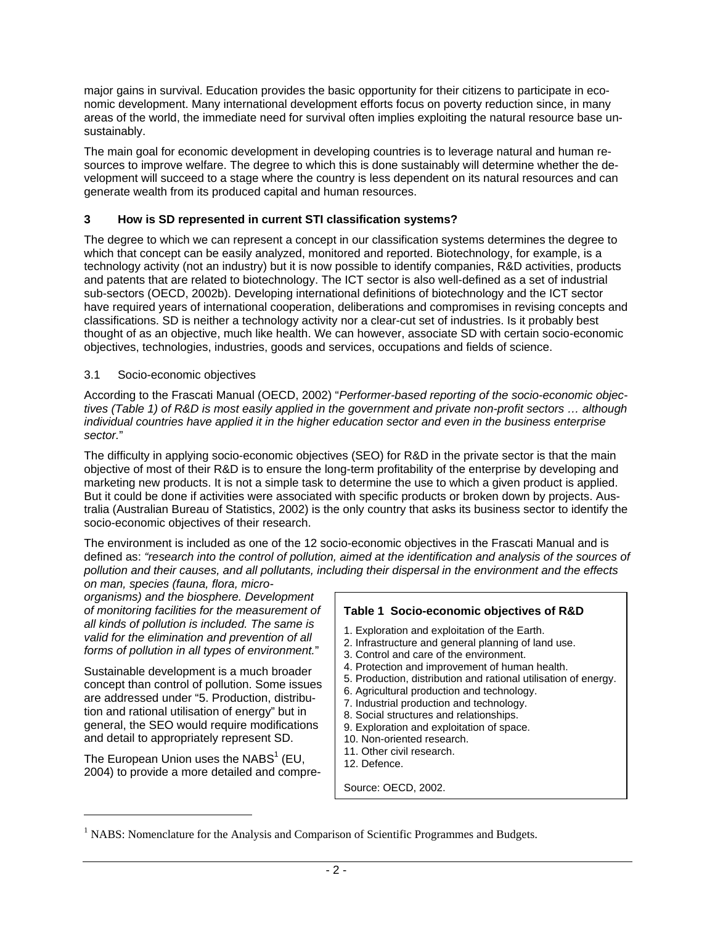major gains in survival. Education provides the basic opportunity for their citizens to participate in economic development. Many international development efforts focus on poverty reduction since, in many areas of the world, the immediate need for survival often implies exploiting the natural resource base unsustainably.

The main goal for economic development in developing countries is to leverage natural and human resources to improve welfare. The degree to which this is done sustainably will determine whether the development will succeed to a stage where the country is less dependent on its natural resources and can generate wealth from its produced capital and human resources.

## **3 How is SD represented in current STI classification systems?**

The degree to which we can represent a concept in our classification systems determines the degree to which that concept can be easily analyzed, monitored and reported. Biotechnology, for example, is a technology activity (not an industry) but it is now possible to identify companies, R&D activities, products and patents that are related to biotechnology. The ICT sector is also well-defined as a set of industrial sub-sectors (OECD, 2002b). Developing international definitions of biotechnology and the ICT sector have required years of international cooperation, deliberations and compromises in revising concepts and classifications. SD is neither a technology activity nor a clear-cut set of industries. Is it probably best thought of as an objective, much like health. We can however, associate SD with certain socio-economic objectives, technologies, industries, goods and services, occupations and fields of science.

#### 3.1 Socio-economic objectives

According to the Frascati Manual (OECD, 2002) "*Performer-based reporting of the socio-economic objectives (Table 1) of R&D is most easily applied in the government and private non-profit sectors … although individual countries have applied it in the higher education sector and even in the business enterprise sector.*"

The difficulty in applying socio-economic objectives (SEO) for R&D in the private sector is that the main objective of most of their R&D is to ensure the long-term profitability of the enterprise by developing and marketing new products. It is not a simple task to determine the use to which a given product is applied. But it could be done if activities were associated with specific products or broken down by projects. Australia (Australian Bureau of Statistics, 2002) is the only country that asks its business sector to identify the socio-economic objectives of their research.

The environment is included as one of the 12 socio-economic objectives in the Frascati Manual and is defined as: *"research into the control of pollution, aimed at the identification and analysis of the sources of pollution and their causes, and all pollutants, including their dispersal in the environment and the effects* 

*on man, species (fauna, flora, microorganisms) and the biosphere. Development of monitoring facilities for the measurement of all kinds of pollution is included. The same is valid for the elimination and prevention of all forms of pollution in all types of environment.*"

Sustainable development is a much broader concept than control of pollution. Some issues are addressed under "5. Production, distribution and rational utilisation of energy" but in general, the SEO would require modifications and detail to appropriately represent SD.

The European Union uses the NABS $^1$  (EU, 2004) to provide a more detailed and compre-

1

#### **Table 1 Socio-economic objectives of R&D**

- 1. Exploration and exploitation of the Earth.
- 2. Infrastructure and general planning of land use.
- 3. Control and care of the environment.
- 4. Protection and improvement of human health.
- 5. Production, distribution and rational utilisation of energy.
- 6. Agricultural production and technology.
- 7. Industrial production and technology.
- 8. Social structures and relationships.
- 9. Exploration and exploitation of space.
- 10. Non-oriented research.
- 11. Other civil research.
- 12. Defence.

Source: OECD, 2002.

<sup>&</sup>lt;sup>1</sup> NABS: Nomenclature for the Analysis and Comparison of Scientific Programmes and Budgets.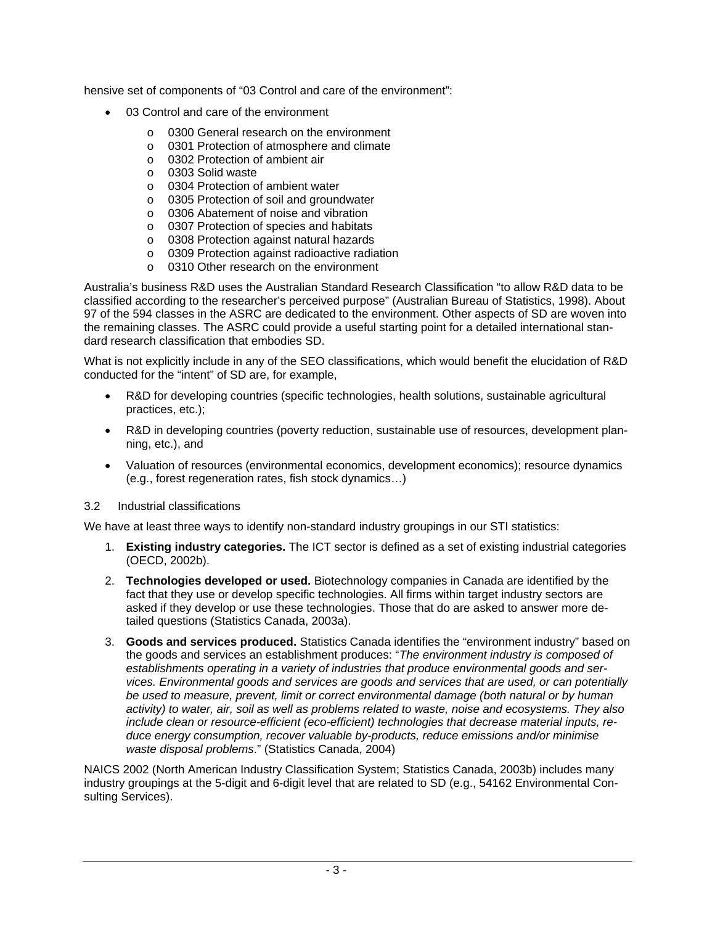hensive set of components of "03 Control and care of the environment":

- 03 Control and care of the environment
	- o 0300 General research on the environment
	- o 0301 Protection of atmosphere and climate
	- o 0302 Protection of ambient air
	- o 0303 Solid waste
	- o 0304 Protection of ambient water
	- o 0305 Protection of soil and groundwater
	- o 0306 Abatement of noise and vibration
	- o 0307 Protection of species and habitats
	- o 0308 Protection against natural hazards
	- o 0309 Protection against radioactive radiation
	- o 0310 Other research on the environment

Australia's business R&D uses the Australian Standard Research Classification "to allow R&D data to be classified according to the researcher's perceived purpose" (Australian Bureau of Statistics, 1998). About 97 of the 594 classes in the ASRC are dedicated to the environment. Other aspects of SD are woven into the remaining classes. The ASRC could provide a useful starting point for a detailed international standard research classification that embodies SD.

What is not explicitly include in any of the SEO classifications, which would benefit the elucidation of R&D conducted for the "intent" of SD are, for example,

- R&D for developing countries (specific technologies, health solutions, sustainable agricultural practices, etc.);
- R&D in developing countries (poverty reduction, sustainable use of resources, development planning, etc.), and
- Valuation of resources (environmental economics, development economics); resource dynamics (e.g., forest regeneration rates, fish stock dynamics…)
- 3.2 Industrial classifications

We have at least three ways to identify non-standard industry groupings in our STI statistics:

- 1. **Existing industry categories.** The ICT sector is defined as a set of existing industrial categories (OECD, 2002b).
- 2. **Technologies developed or used.** Biotechnology companies in Canada are identified by the fact that they use or develop specific technologies. All firms within target industry sectors are asked if they develop or use these technologies. Those that do are asked to answer more detailed questions (Statistics Canada, 2003a).
- 3. **Goods and services produced.** Statistics Canada identifies the "environment industry" based on the goods and services an establishment produces: "*The environment industry is composed of establishments operating in a variety of industries that produce environmental goods and services. Environmental goods and services are goods and services that are used, or can potentially be used to measure, prevent, limit or correct environmental damage (both natural or by human activity) to water, air, soil as well as problems related to waste, noise and ecosystems. They also include clean or resource-efficient (eco-efficient) technologies that decrease material inputs, reduce energy consumption, recover valuable by-products, reduce emissions and/or minimise waste disposal problems*." (Statistics Canada, 2004)

NAICS 2002 (North American Industry Classification System; Statistics Canada, 2003b) includes many industry groupings at the 5-digit and 6-digit level that are related to SD (e.g., 54162 Environmental Consulting Services).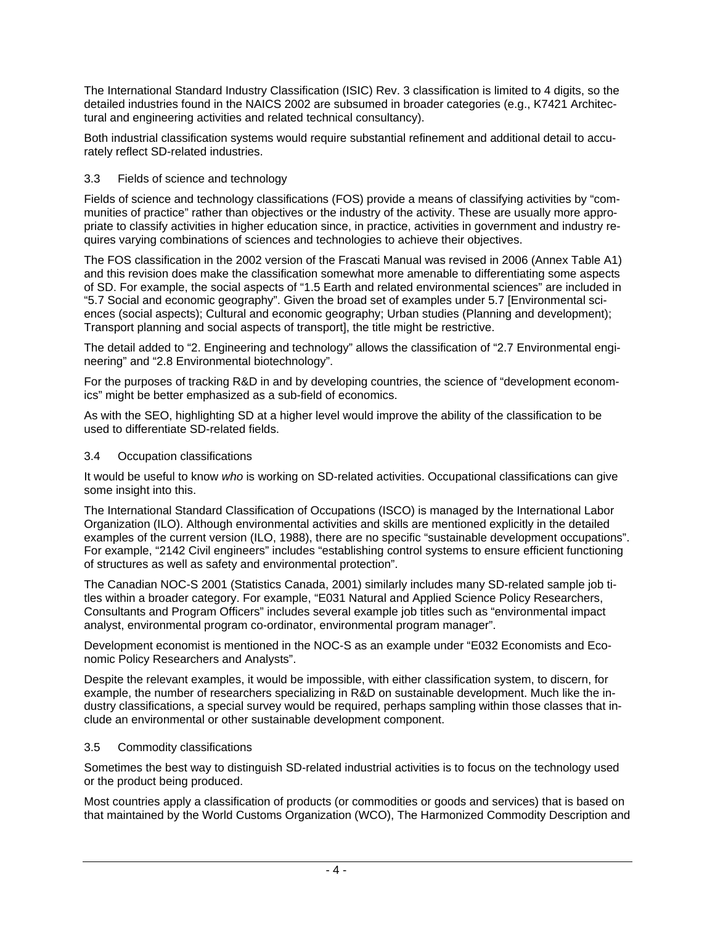The International Standard Industry Classification (ISIC) Rev. 3 classification is limited to 4 digits, so the detailed industries found in the NAICS 2002 are subsumed in broader categories (e.g., K7421 Architectural and engineering activities and related technical consultancy).

Both industrial classification systems would require substantial refinement and additional detail to accurately reflect SD-related industries.

## 3.3 Fields of science and technology

Fields of science and technology classifications (FOS) provide a means of classifying activities by "communities of practice" rather than objectives or the industry of the activity. These are usually more appropriate to classify activities in higher education since, in practice, activities in government and industry requires varying combinations of sciences and technologies to achieve their objectives.

The FOS classification in the 2002 version of the Frascati Manual was revised in 2006 (Annex Table A1) and this revision does make the classification somewhat more amenable to differentiating some aspects of SD. For example, the social aspects of "1.5 Earth and related environmental sciences" are included in "5.7 Social and economic geography". Given the broad set of examples under 5.7 [Environmental sciences (social aspects); Cultural and economic geography; Urban studies (Planning and development); Transport planning and social aspects of transport], the title might be restrictive.

The detail added to "2. Engineering and technology" allows the classification of "2.7 Environmental engineering" and "2.8 Environmental biotechnology".

For the purposes of tracking R&D in and by developing countries, the science of "development economics" might be better emphasized as a sub-field of economics.

As with the SEO, highlighting SD at a higher level would improve the ability of the classification to be used to differentiate SD-related fields.

#### 3.4 Occupation classifications

It would be useful to know *who* is working on SD-related activities. Occupational classifications can give some insight into this.

The International Standard Classification of Occupations (ISCO) is managed by the International Labor Organization (ILO). Although environmental activities and skills are mentioned explicitly in the detailed examples of the current version (ILO, 1988), there are no specific "sustainable development occupations". For example, "2142 Civil engineers" includes "establishing control systems to ensure efficient functioning of structures as well as safety and environmental protection".

The Canadian NOC-S 2001 (Statistics Canada, 2001) similarly includes many SD-related sample job titles within a broader category. For example, "E031 Natural and Applied Science Policy Researchers, Consultants and Program Officers" includes several example job titles such as "environmental impact analyst, environmental program co-ordinator, environmental program manager".

Development economist is mentioned in the NOC-S as an example under "E032 Economists and Economic Policy Researchers and Analysts".

Despite the relevant examples, it would be impossible, with either classification system, to discern, for example, the number of researchers specializing in R&D on sustainable development. Much like the industry classifications, a special survey would be required, perhaps sampling within those classes that include an environmental or other sustainable development component.

#### 3.5 Commodity classifications

Sometimes the best way to distinguish SD-related industrial activities is to focus on the technology used or the product being produced.

Most countries apply a classification of products (or commodities or goods and services) that is based on that maintained by the World Customs Organization (WCO), The Harmonized Commodity Description and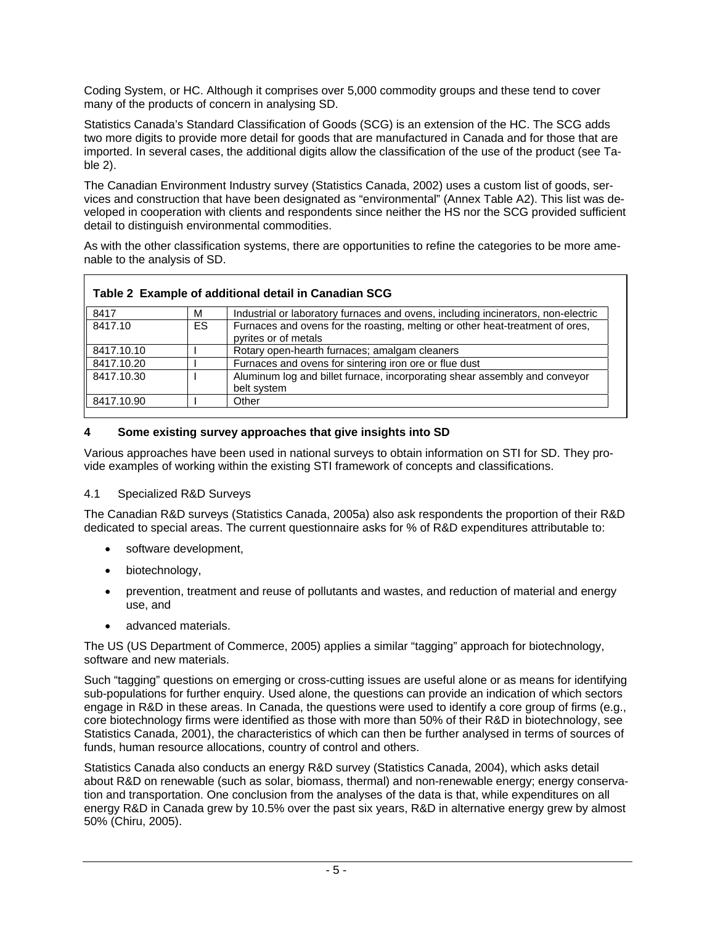Coding System, or HC. Although it comprises over 5,000 commodity groups and these tend to cover many of the products of concern in analysing SD.

Statistics Canada's Standard Classification of Goods (SCG) is an extension of the HC. The SCG adds two more digits to provide more detail for goods that are manufactured in Canada and for those that are imported. In several cases, the additional digits allow the classification of the use of the product (see Table 2).

The Canadian Environment Industry survey (Statistics Canada, 2002) uses a custom list of goods, services and construction that have been designated as "environmental" (Annex Table A2). This list was developed in cooperation with clients and respondents since neither the HS nor the SCG provided sufficient detail to distinguish environmental commodities.

As with the other classification systems, there are opportunities to refine the categories to be more amenable to the analysis of SD.

| Table 2 Example of additional detail in Canadian SCG |     |                                                                                                       |  |  |
|------------------------------------------------------|-----|-------------------------------------------------------------------------------------------------------|--|--|
| 8417                                                 | М   | Industrial or laboratory furnaces and ovens, including incinerators, non-electric                     |  |  |
| 8417.10                                              | ES. | Furnaces and ovens for the roasting, melting or other heat-treatment of ores,<br>pyrites or of metals |  |  |
| 8417.10.10                                           |     | Rotary open-hearth furnaces; amalgam cleaners                                                         |  |  |
| 8417.10.20                                           |     | Furnaces and ovens for sintering iron ore or flue dust                                                |  |  |
| 8417.10.30                                           |     | Aluminum log and billet furnace, incorporating shear assembly and conveyor<br>belt system             |  |  |
| 8417.10.90                                           |     | Other                                                                                                 |  |  |

#### **4 Some existing survey approaches that give insights into SD**

Various approaches have been used in national surveys to obtain information on STI for SD. They provide examples of working within the existing STI framework of concepts and classifications.

#### 4.1 Specialized R&D Surveys

The Canadian R&D surveys (Statistics Canada, 2005a) also ask respondents the proportion of their R&D dedicated to special areas. The current questionnaire asks for % of R&D expenditures attributable to:

- software development.
- biotechnology,
- prevention, treatment and reuse of pollutants and wastes, and reduction of material and energy use, and
- advanced materials.

The US (US Department of Commerce, 2005) applies a similar "tagging" approach for biotechnology, software and new materials.

Such "tagging" questions on emerging or cross-cutting issues are useful alone or as means for identifying sub-populations for further enquiry. Used alone, the questions can provide an indication of which sectors engage in R&D in these areas. In Canada, the questions were used to identify a core group of firms (e.g., core biotechnology firms were identified as those with more than 50% of their R&D in biotechnology, see Statistics Canada, 2001), the characteristics of which can then be further analysed in terms of sources of funds, human resource allocations, country of control and others.

Statistics Canada also conducts an energy R&D survey (Statistics Canada, 2004), which asks detail about R&D on renewable (such as solar, biomass, thermal) and non-renewable energy; energy conservation and transportation. One conclusion from the analyses of the data is that, while expenditures on all energy R&D in Canada grew by 10.5% over the past six years, R&D in alternative energy grew by almost 50% (Chiru, 2005).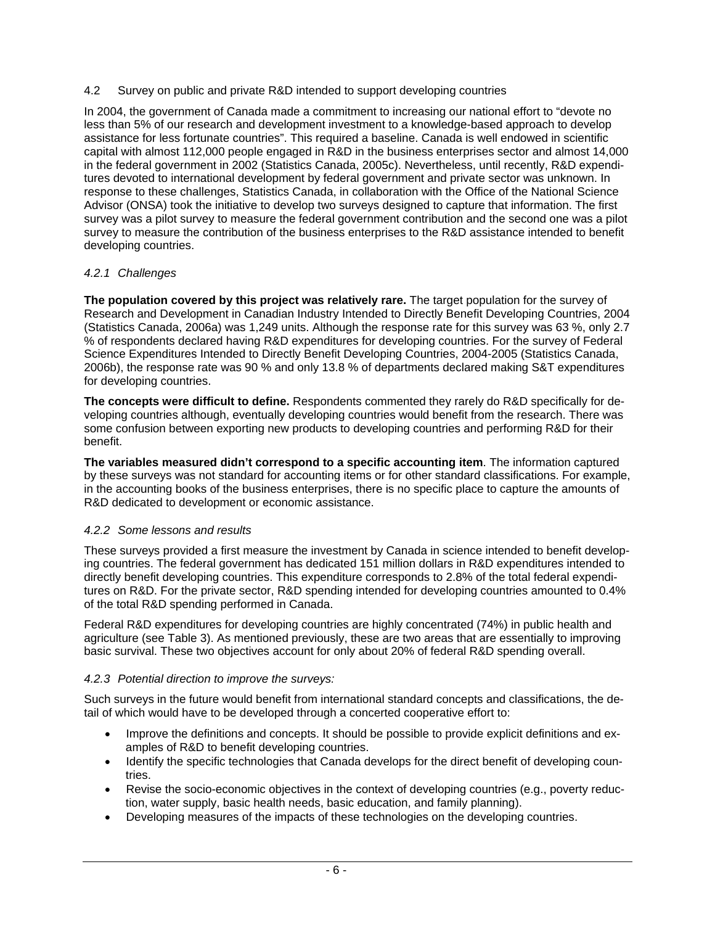## 4.2 Survey on public and private R&D intended to support developing countries

In 2004, the government of Canada made a commitment to increasing our national effort to "devote no less than 5% of our research and development investment to a knowledge-based approach to develop assistance for less fortunate countries". This required a baseline. Canada is well endowed in scientific capital with almost 112,000 people engaged in R&D in the business enterprises sector and almost 14,000 in the federal government in 2002 (Statistics Canada, 2005c). Nevertheless, until recently, R&D expenditures devoted to international development by federal government and private sector was unknown. In response to these challenges, Statistics Canada, in collaboration with the Office of the National Science Advisor (ONSA) took the initiative to develop two surveys designed to capture that information. The first survey was a pilot survey to measure the federal government contribution and the second one was a pilot survey to measure the contribution of the business enterprises to the R&D assistance intended to benefit developing countries.

#### *4.2.1 Challenges*

**The population covered by this project was relatively rare.** The target population for the survey of Research and Development in Canadian Industry Intended to Directly Benefit Developing Countries, 2004 (Statistics Canada, 2006a) was 1,249 units. Although the response rate for this survey was 63 %, only 2.7 % of respondents declared having R&D expenditures for developing countries. For the survey of Federal Science Expenditures Intended to Directly Benefit Developing Countries, 2004-2005 (Statistics Canada, 2006b), the response rate was 90 % and only 13.8 % of departments declared making S&T expenditures for developing countries.

**The concepts were difficult to define.** Respondents commented they rarely do R&D specifically for developing countries although, eventually developing countries would benefit from the research. There was some confusion between exporting new products to developing countries and performing R&D for their benefit.

**The variables measured didn't correspond to a specific accounting item**. The information captured by these surveys was not standard for accounting items or for other standard classifications. For example, in the accounting books of the business enterprises, there is no specific place to capture the amounts of R&D dedicated to development or economic assistance.

## *4.2.2 Some lessons and results*

These surveys provided a first measure the investment by Canada in science intended to benefit developing countries. The federal government has dedicated 151 million dollars in R&D expenditures intended to directly benefit developing countries. This expenditure corresponds to 2.8% of the total federal expenditures on R&D. For the private sector, R&D spending intended for developing countries amounted to 0.4% of the total R&D spending performed in Canada.

Federal R&D expenditures for developing countries are highly concentrated (74%) in public health and agriculture (see Table 3). As mentioned previously, these are two areas that are essentially to improving basic survival. These two objectives account for only about 20% of federal R&D spending overall.

#### *4.2.3 Potential direction to improve the surveys:*

Such surveys in the future would benefit from international standard concepts and classifications, the detail of which would have to be developed through a concerted cooperative effort to:

- Improve the definitions and concepts. It should be possible to provide explicit definitions and examples of R&D to benefit developing countries.
- Identify the specific technologies that Canada develops for the direct benefit of developing countries.
- Revise the socio-economic objectives in the context of developing countries (e.g., poverty reduction, water supply, basic health needs, basic education, and family planning).
- Developing measures of the impacts of these technologies on the developing countries.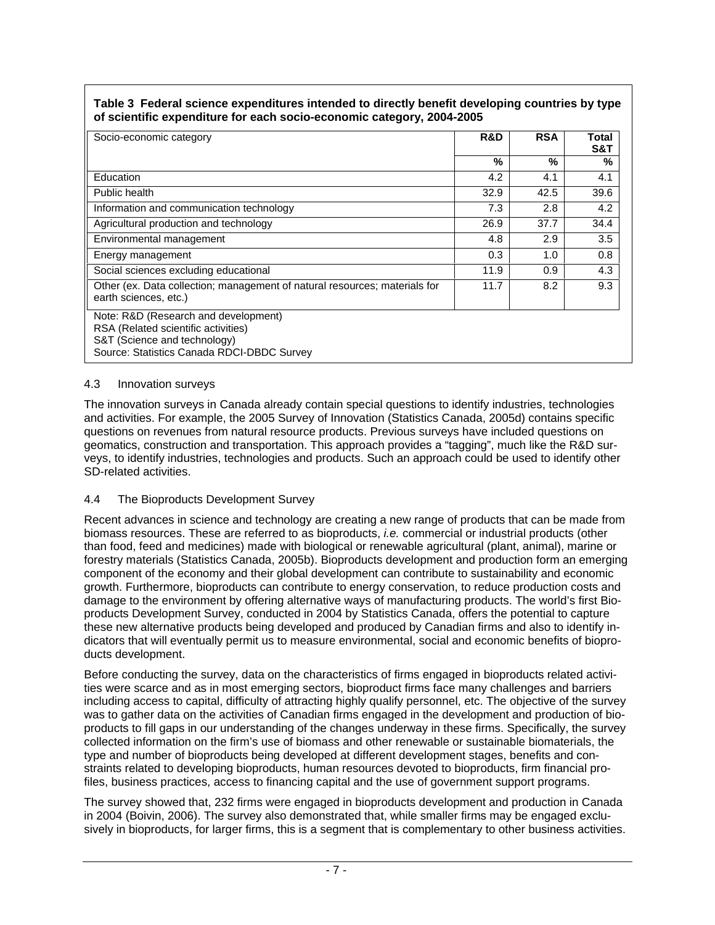| Socio-economic category                                                                                                                                   | R&D           | <b>RSA</b> | Total<br>S&T |
|-----------------------------------------------------------------------------------------------------------------------------------------------------------|---------------|------------|--------------|
|                                                                                                                                                           | $\frac{0}{n}$ | %          | %            |
| Education                                                                                                                                                 | 4.2           | 4.1        | 4.1          |
| Public health                                                                                                                                             | 32.9          | 42.5       | 39.6         |
| Information and communication technology                                                                                                                  | 7.3           | 2.8        | 4.2          |
| Agricultural production and technology                                                                                                                    | 26.9          | 37.7       | 34.4         |
| Environmental management                                                                                                                                  | 4.8           | 2.9        | 3.5          |
| Energy management                                                                                                                                         | 0.3           | 1.0        | 0.8          |
| Social sciences excluding educational                                                                                                                     | 11.9          | 0.9        | 4.3          |
| Other (ex. Data collection; management of natural resources; materials for<br>earth sciences, etc.)                                                       | 11.7          | 8.2        | 9.3          |
| Note: R&D (Research and development)<br>RSA (Related scientific activities)<br>S&T (Science and technology)<br>Source: Statistics Canada RDCI-DBDC Survey |               |            |              |

# **Table 3 Federal science expenditures intended to directly benefit developing countries by type**

# 4.3 Innovation surveys

The innovation surveys in Canada already contain special questions to identify industries, technologies and activities. For example, the 2005 Survey of Innovation (Statistics Canada, 2005d) contains specific questions on revenues from natural resource products. Previous surveys have included questions on geomatics, construction and transportation. This approach provides a "tagging", much like the R&D surveys, to identify industries, technologies and products. Such an approach could be used to identify other SD-related activities.

## 4.4 The Bioproducts Development Survey

Recent advances in science and technology are creating a new range of products that can be made from biomass resources. These are referred to as bioproducts, *i.e.* commercial or industrial products (other than food, feed and medicines) made with biological or renewable agricultural (plant, animal), marine or forestry materials (Statistics Canada, 2005b). Bioproducts development and production form an emerging component of the economy and their global development can contribute to sustainability and economic growth. Furthermore, bioproducts can contribute to energy conservation, to reduce production costs and damage to the environment by offering alternative ways of manufacturing products. The world's first Bioproducts Development Survey, conducted in 2004 by Statistics Canada, offers the potential to capture these new alternative products being developed and produced by Canadian firms and also to identify indicators that will eventually permit us to measure environmental, social and economic benefits of bioproducts development.

Before conducting the survey, data on the characteristics of firms engaged in bioproducts related activities were scarce and as in most emerging sectors, bioproduct firms face many challenges and barriers including access to capital, difficulty of attracting highly qualify personnel, etc. The objective of the survey was to gather data on the activities of Canadian firms engaged in the development and production of bioproducts to fill gaps in our understanding of the changes underway in these firms. Specifically, the survey collected information on the firm's use of biomass and other renewable or sustainable biomaterials, the type and number of bioproducts being developed at different development stages, benefits and constraints related to developing bioproducts, human resources devoted to bioproducts, firm financial profiles, business practices, access to financing capital and the use of government support programs.

The survey showed that, 232 firms were engaged in bioproducts development and production in Canada in 2004 (Boivin, 2006). The survey also demonstrated that, while smaller firms may be engaged exclusively in bioproducts, for larger firms, this is a segment that is complementary to other business activities.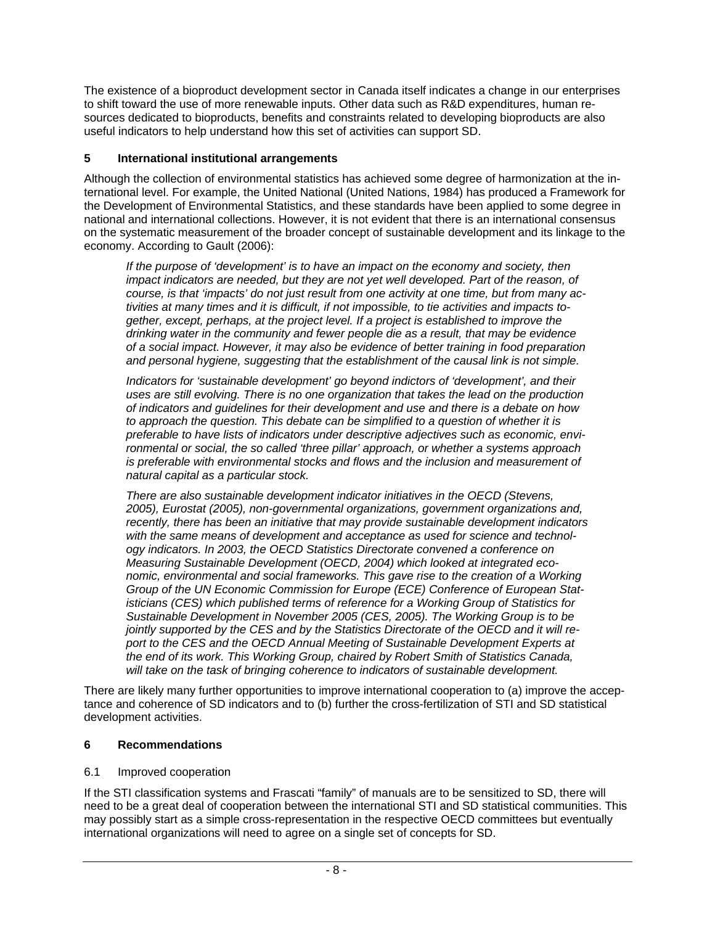The existence of a bioproduct development sector in Canada itself indicates a change in our enterprises to shift toward the use of more renewable inputs. Other data such as R&D expenditures, human resources dedicated to bioproducts, benefits and constraints related to developing bioproducts are also useful indicators to help understand how this set of activities can support SD.

# **5 International institutional arrangements**

Although the collection of environmental statistics has achieved some degree of harmonization at the international level. For example, the United National (United Nations, 1984) has produced a Framework for the Development of Environmental Statistics, and these standards have been applied to some degree in national and international collections. However, it is not evident that there is an international consensus on the systematic measurement of the broader concept of sustainable development and its linkage to the economy. According to Gault (2006):

*If the purpose of 'development' is to have an impact on the economy and society, then impact indicators are needed, but they are not yet well developed. Part of the reason, of course, is that 'impacts' do not just result from one activity at one time, but from many activities at many times and it is difficult, if not impossible, to tie activities and impacts together, except, perhaps, at the project level. If a project is established to improve the drinking water in the community and fewer people die as a result, that may be evidence of a social impact. However, it may also be evidence of better training in food preparation and personal hygiene, suggesting that the establishment of the causal link is not simple.* 

*Indicators for 'sustainable development' go beyond indictors of 'development', and their uses are still evolving. There is no one organization that takes the lead on the production of indicators and guidelines for their development and use and there is a debate on how to approach the question. This debate can be simplified to a question of whether it is preferable to have lists of indicators under descriptive adjectives such as economic, environmental or social, the so called 'three pillar' approach, or whether a systems approach*  is preferable with environmental stocks and flows and the inclusion and measurement of *natural capital as a particular stock.*

*There are also sustainable development indicator initiatives in the OECD (Stevens, 2005), Eurostat (2005), non-governmental organizations, government organizations and, recently, there has been an initiative that may provide sustainable development indicators with the same means of development and acceptance as used for science and technology indicators. In 2003, the OECD Statistics Directorate convened a conference on Measuring Sustainable Development (OECD, 2004) which looked at integrated economic, environmental and social frameworks. This gave rise to the creation of a Working Group of the UN Economic Commission for Europe (ECE) Conference of European Statisticians (CES) which published terms of reference for a Working Group of Statistics for Sustainable Development in November 2005 (CES, 2005). The Working Group is to be jointly supported by the CES and by the Statistics Directorate of the OECD and it will re*port to the CES and the OECD Annual Meeting of Sustainable Development Experts at *the end of its work. This Working Group, chaired by Robert Smith of Statistics Canada, will take on the task of bringing coherence to indicators of sustainable development.* 

There are likely many further opportunities to improve international cooperation to (a) improve the acceptance and coherence of SD indicators and to (b) further the cross-fertilization of STI and SD statistical development activities.

# **6 Recommendations**

## 6.1 Improved cooperation

If the STI classification systems and Frascati "family" of manuals are to be sensitized to SD, there will need to be a great deal of cooperation between the international STI and SD statistical communities. This may possibly start as a simple cross-representation in the respective OECD committees but eventually international organizations will need to agree on a single set of concepts for SD.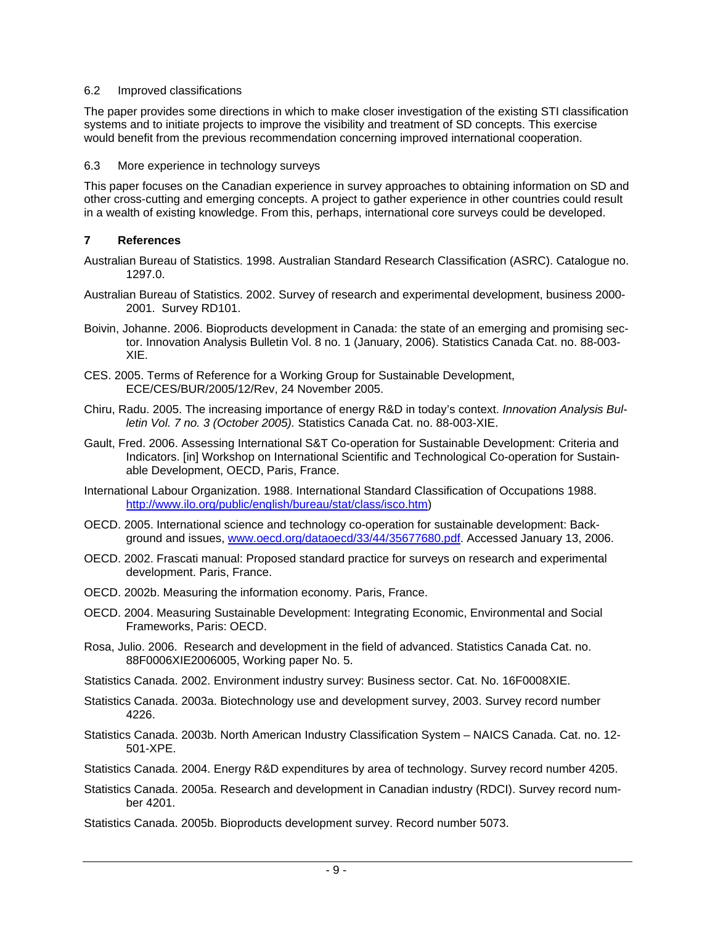#### 6.2 Improved classifications

The paper provides some directions in which to make closer investigation of the existing STI classification systems and to initiate projects to improve the visibility and treatment of SD concepts. This exercise would benefit from the previous recommendation concerning improved international cooperation.

#### 6.3 More experience in technology surveys

This paper focuses on the Canadian experience in survey approaches to obtaining information on SD and other cross-cutting and emerging concepts. A project to gather experience in other countries could result in a wealth of existing knowledge. From this, perhaps, international core surveys could be developed.

#### **7 References**

Australian Bureau of Statistics. 1998. Australian Standard Research Classification (ASRC). Catalogue no. 1297.0.

- Australian Bureau of Statistics. 2002. Survey of research and experimental development, business 2000- 2001. Survey RD101.
- Boivin, Johanne. 2006. Bioproducts development in Canada: the state of an emerging and promising sector. Innovation Analysis Bulletin Vol. 8 no. 1 (January, 2006). Statistics Canada Cat. no. 88-003- XIE.
- CES. 2005. Terms of Reference for a Working Group for Sustainable Development, ECE/CES/BUR/2005/12/Rev, 24 November 2005.
- Chiru, Radu. 2005. The increasing importance of energy R&D in today's context. *Innovation Analysis Bulletin Vol. 7 no. 3 (October 2005).* Statistics Canada Cat. no. 88-003-XIE.
- Gault, Fred. 2006. Assessing International S&T Co-operation for Sustainable Development: Criteria and Indicators. [in] Workshop on International Scientific and Technological Co-operation for Sustainable Development, OECD, Paris, France.
- International Labour Organization. 1988. International Standard Classification of Occupations 1988. http://www.ilo.org/public/english/bureau/stat/class/isco.htm)
- OECD. 2005. International science and technology co-operation for sustainable development: Background and issues, www.oecd.org/dataoecd/33/44/35677680.pdf. Accessed January 13, 2006.
- OECD. 2002. Frascati manual: Proposed standard practice for surveys on research and experimental development. Paris, France.
- OECD. 2002b. Measuring the information economy. Paris, France.
- OECD. 2004. Measuring Sustainable Development: Integrating Economic, Environmental and Social Frameworks, Paris: OECD.
- Rosa, Julio. 2006. Research and development in the field of advanced. Statistics Canada Cat. no. 88F0006XIE2006005, Working paper No. 5.
- Statistics Canada. 2002. Environment industry survey: Business sector. Cat. No. 16F0008XIE.
- Statistics Canada. 2003a. Biotechnology use and development survey, 2003. Survey record number 4226.
- Statistics Canada. 2003b. North American Industry Classification System NAICS Canada. Cat. no. 12- 501-XPE.
- Statistics Canada. 2004. Energy R&D expenditures by area of technology. Survey record number 4205.
- Statistics Canada. 2005a. Research and development in Canadian industry (RDCI). Survey record number 4201.
- Statistics Canada. 2005b. Bioproducts development survey. Record number 5073.